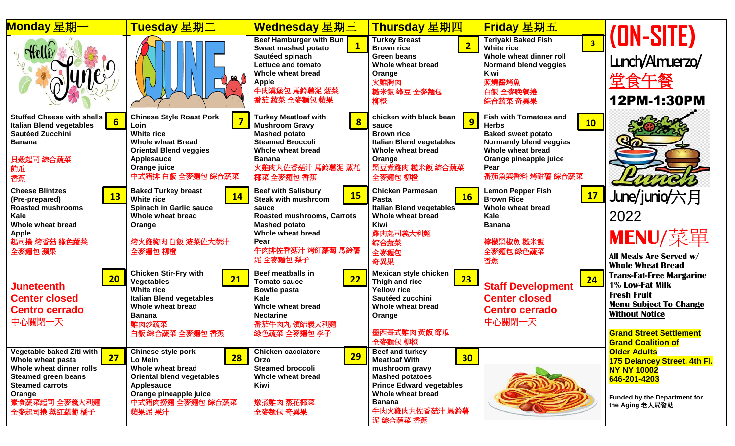| Monday 星期一                                                                                                                                                                           | Tuesday 星期二                                                                                                                                                                       | Wednesday 星期三                                                                                                                                                                                              | Thursday 星期四                                                                                                                                                                                                   | <b>Friday</b> 星期五                                                                                                                                                                    |                                                                                                                                                                                                   |
|--------------------------------------------------------------------------------------------------------------------------------------------------------------------------------------|-----------------------------------------------------------------------------------------------------------------------------------------------------------------------------------|------------------------------------------------------------------------------------------------------------------------------------------------------------------------------------------------------------|----------------------------------------------------------------------------------------------------------------------------------------------------------------------------------------------------------------|--------------------------------------------------------------------------------------------------------------------------------------------------------------------------------------|---------------------------------------------------------------------------------------------------------------------------------------------------------------------------------------------------|
| unes                                                                                                                                                                                 |                                                                                                                                                                                   | Beef Hamburger with Bun<br>Sweet mashed potato<br>Sautéed spinach<br>Lettuce and tomato<br>Whole wheat bread<br><b>Apple</b><br>牛肉漢堡包 馬鈴薯泥 菠菜<br>番茄 蔬菜 全麥麵包 蘋果                                             | <b>Turkey Breast</b><br>$\overline{2}$<br><b>Brown rice</b><br><b>Green beans</b><br>Whole wheat bread<br>Orange<br>火雞胸肉<br>糙米飯 綠豆 全麥麵包<br>柳橙                                                                  | <b>Teriyaki Baked Fish</b><br>3 <sup>1</sup><br><b>White rice</b><br>Whole wheat dinner roll<br><b>Normand blend veggies</b><br><b>Kiwi</b><br>照燒醬烤魚<br>白飯 全麥晚餐捲<br>綜合蔬菜 奇異果         | (DN-SITE)<br>Lunch/Amuerzo/<br>堂食午餐<br>12PM-1:30PM                                                                                                                                                |
| <b>Stuffed Cheese with shells</b><br>$6\overline{6}$<br><b>Italian Blend vegetables</b><br><b>Sautéed Zucchini</b><br><b>Banana</b><br>貝殻起司 綜合蔬菜<br>節瓜<br>香蕉                         | <b>Chinese Style Roast Pork</b><br>Loin<br><b>White rice</b><br><b>Whole wheat Bread</b><br><b>Oriental Blend veggies</b><br>Applesauce<br>Orange juice<br>中式豬排 白飯 全麥麵包 綜合蔬菜      | <b>Turkey Meatloaf with</b><br>$\overline{\mathbf{8}}$<br><b>Mushroom Gravy</b><br><b>Mashed potato</b><br><b>Steamed Broccoli</b><br>Whole wheat bread<br><b>Banana</b><br>火雞肉丸佐香菇汁 馬鈴薯泥 蒸花<br>椰菜 全麥麵包 香蕉 | chicken with black bean<br>9<br>sauce<br><b>Brown rice</b><br><b>Italian Blend vegetables</b><br>Whole wheat bread<br>Orange<br>黑豆煮雞肉 糙米飯 綜合蔬菜<br>全麥麵包 柳橙                                                      | <b>Fish with Tomatoes and</b><br>10<br><b>Herbs</b><br><b>Baked sweet potato</b><br>Normandy blend veggies<br>Whole wheat bread<br>Orange pineapple juice<br>Pear<br>番茄魚與香料 烤甜薯 綜合蔬菜 |                                                                                                                                                                                                   |
| <b>Cheese Blintzes</b><br><b>13</b><br>(Pre-prepared)<br><b>Roasted mushrooms</b><br>Kale<br>Whole wheat bread<br><b>Apple</b><br>起司捲 烤香菇 綠色蔬菜<br>全麥麵包 蘋果                            | <b>Baked Turkey breast</b><br><b>14</b><br><b>White rice</b><br><b>Spinach in Garlic sauce</b><br>Whole wheat bread<br>Orange<br>烤火雞胸肉 白飯 波菜佐大蒜汁<br>全麥麵包 柳橙                       | <b>Beef with Salisbury</b><br><b>15</b><br><b>Steak with mushroom</b><br>sauce<br><b>Roasted mushrooms, Carrots</b><br><b>Mashed potato</b><br>Whole wheat bread<br>Pear<br>牛肉排佐香菇汁 烤紅蘿蔔 馬鈴薯<br>泥 全麥麵包 梨子  | <b>Chicken Parmesan</b><br>16<br>Pasta<br>Italian Blend vegetables<br>Whole wheat bread<br>Kiwi<br>雞肉起司義大利麵<br>綜合蔬菜<br>全麥麵包<br>奇異果                                                                             | <b>Lemon Pepper Fish</b><br>17<br><b>Brown Rice</b><br>Whole wheat bread<br><b>Kale</b><br><b>Banana</b><br>檸檬黑椒魚 糙米飯<br>全麥麵包 綠色蔬菜<br>香蕉                                             | June/junio/六月<br>2022<br>MENU/菜單<br><b>All Meals Are Served w/</b><br><b>Whole Wheat Bread</b>                                                                                                    |
| 20<br>Juneteenth<br><b>Center closed</b><br><b>Centro cerrado</b><br>中心關閉一天                                                                                                          | <b>Chicken Stir-Fry with</b><br>21<br><b>Vegetables</b><br><b>White rice</b><br><b>Italian Blend vegetables</b><br>Whole wheat bread<br><b>Banana</b><br>雞肉炒蔬菜<br>白飯 綜合蔬菜 全麥麵包 香蕉 | <b>Beef meatballs in</b><br>22<br><b>Tomato sauce</b><br><b>Bowtie pasta</b><br>Kale<br><b>Whole wheat bread</b><br><b>Nectarine</b><br>番茄牛肉丸領結義大利麵<br>綠色蔬菜 全麥麵包 李子                                        | Mexican style chicken<br>23<br>Thigh and rice<br><b>Yellow rice</b><br>Sautéed zucchini<br>Whole wheat bread<br>Orange<br>墨西哥式雞肉 黃飯 節瓜<br>全麥麵包 柳橙                                                              | 24<br><b>Staff Development</b><br><b>Center closed</b><br><b>Centro cerrado</b><br>中心關閉一天                                                                                            | <b>Trans-Fat-Free Margarine</b><br>1% Low-Fat Milk<br><b>Fresh Fruit</b><br><b>Menu Subject To Change</b><br><b>Without Notice</b><br><b>Grand Street Settlement</b><br><b>Grand Coalition of</b> |
| Vegetable baked Ziti with<br>27<br>Whole wheat pasta<br>Whole wheat dinner rolls<br><b>Steamed green beans</b><br><b>Steamed carrots</b><br>Orange<br>素食蔬菜起司 全麥義大利麵<br>全麥起司捲 蒸紅蘿蔔 橘子 | <b>Chinese style pork</b><br><b>28</b><br>Lo Mein<br>Whole wheat bread<br><b>Oriental blend vegetables</b><br>Applesauce<br>Orange pineapple juice<br>中式豬肉撈麵 全麥麵包 綜合蔬菜<br>蘋果泥 果汁  | <b>Chicken cacciatore</b><br>29<br>Orzo<br><b>Steamed broccoli</b><br>Whole wheat bread<br>Kiwi<br>燉煮雞肉 蒸花椰菜<br>全麥麵包 奇異果                                                                                   | Beef and turkey<br>30 <sub>o</sub><br><b>Meatloaf With</b><br>mushroom gravy<br><b>Mashed potatoes</b><br><b>Prince Edward vegetables</b><br>Whole wheat bread<br><b>Banana</b><br>牛肉火雞肉丸佐香菇汁 馬鈴薯<br>泥 綜合蔬菜 香蕉 |                                                                                                                                                                                      | <b>Older Adults</b><br>175 Delancey Street, 4th Fl.<br><b>NY NY 10002</b><br>646-201-4203<br><b>Funded by the Department for</b><br>the Aging 老人局資助                                               |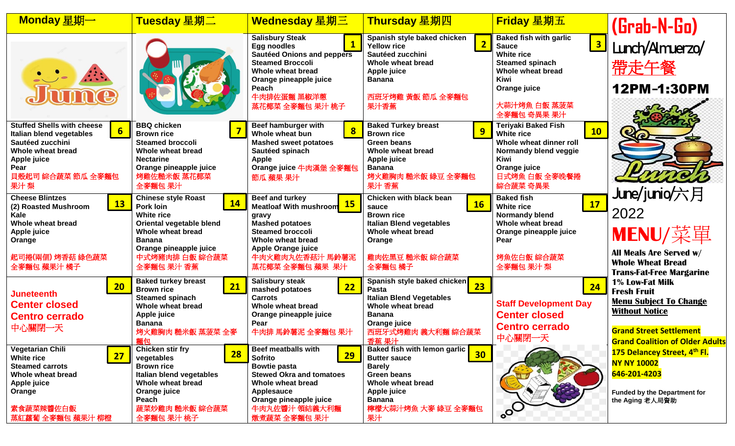| Monday 星期一                                                                                                                                                                   | Tuesday 星期二                                                                                                                                                                                           | Wednesday 星期三                                                                                                                                                                                                       | Thursday 星期四                                                                                                                                                                                   | Friday 星期五                                                                                                                                                                             | (Grab-N-Go)                                                                                                                                                                 |
|------------------------------------------------------------------------------------------------------------------------------------------------------------------------------|-------------------------------------------------------------------------------------------------------------------------------------------------------------------------------------------------------|---------------------------------------------------------------------------------------------------------------------------------------------------------------------------------------------------------------------|------------------------------------------------------------------------------------------------------------------------------------------------------------------------------------------------|----------------------------------------------------------------------------------------------------------------------------------------------------------------------------------------|-----------------------------------------------------------------------------------------------------------------------------------------------------------------------------|
| $\sum_{i=1}^{n}$<br><b>TITTING</b>                                                                                                                                           |                                                                                                                                                                                                       | <b>Salisbury Steak</b><br><b>Egg noodles</b><br><b>Sautéed Onions and peppers</b><br><b>Steamed Broccoli</b><br>Whole wheat bread<br>Orange pineapple juice<br>Peach<br>牛肉排佐蛋麵 黑椒洋蔥<br>蒸花椰菜 全麥麵包 果汁 桃子              | Spanish style baked chicken<br>$\overline{2}$<br><b>Yellow rice</b><br>Sautéed zucchini<br>Whole wheat bread<br>Apple juice<br><b>Banana</b><br>西班牙烤雞 黃飯 節瓜 全麥麵包<br>果汁香蕉                       | <b>Baked fish with garlic</b><br>$\sqrt{3}$<br><b>Sauce</b><br>White rice<br><b>Steamed spinach</b><br>Whole wheat bread<br><b>Kiwi</b><br>Orange juice<br>大蒜汁烤魚 白飯 蒸菠菜<br>全麥麵包 奇異果 果汁 | Lunch/Amuerzo/<br>帶走午餐<br>12PM-1:30PM                                                                                                                                       |
| <b>Stuffed Shells with cheese</b><br>$6\overline{6}$<br>Italian blend vegetables<br>Sautéed zucchini<br>Whole wheat bread<br>Apple juice<br>Pear<br>貝殼起司 綜合蔬菜 節瓜 全麥麵包<br>果汁梨 | <b>BBQ chicken</b><br><b>Brown rice</b><br><b>Steamed broccoli</b><br>Whole wheat bread<br><b>Nectarine</b><br>Orange pineapple juice<br>烤雞佐糙米飯 蒸花椰菜<br>全麥麵包 果汁                                       | Beef hamburger with<br>$\bf{8}$<br>Whole wheat bun<br><b>Mashed sweet potatoes</b><br>Sautéed spinach<br><b>Apple</b><br>Orange juice 牛肉漢堡 全麥麵包<br>節瓜 蘋果 果汁                                                         | <b>Baked Turkey breast</b><br>9<br><b>Brown rice</b><br><b>Green beans</b><br>Whole wheat bread<br><b>Apple juice</b><br><b>Banana</b><br>烤火雞胸肉 糙米飯 綠豆 全麥麵包<br>果汁 香蕉                           | <b>Teriyaki Baked Fish</b><br>10<br><b>White rice</b><br>Whole wheat dinner roll<br>Normandy blend veggie<br><b>Kiwi</b><br>Orange juice<br>日式烤魚 白飯 全麥晚餐捲<br>綜合蔬菜 奇異果                  |                                                                                                                                                                             |
| <b>Cheese Blintzes</b><br>13<br>(2) Roasted Mushroom<br>Kale<br>Whole wheat bread<br>Apple juice<br>Orange<br>起司捲(兩個) 烤香菇 綠色蔬菜<br>全麥麵包 蘋果汁 橘子                                | <b>Chinese style Roast</b><br><b>14</b><br>Pork loin<br><b>White rice</b><br>Oriental vegetable blend<br>Whole wheat bread<br><b>Banana</b><br>Orange pineapple juice<br>中式烤豬肉排 白飯 綜合蔬菜<br>全麥麵包 果汁 香蕉 | Beef and turkey<br><b>15</b><br><b>Meatloaf With mushroom</b><br>gravy<br><b>Mashed potatoes</b><br><b>Steamed broccoli</b><br>Whole wheat bread<br><b>Apple Orange juice</b><br>牛肉火雞肉丸佐香菇汁 馬鈴薯泥<br>蒸花椰菜 全麥麵包 蘋果 果汁 | Chicken with black bean<br><b>16</b><br>sauce<br><b>Brown rice</b><br><b>Italian Blend vegetables</b><br>Whole wheat bread<br>Orange<br>雞肉佐黑豆 糙米飯 綜合蔬菜<br>全麥麵包 橘子                              | <b>Baked fish</b><br>17<br><b>White rice</b><br><b>Normandy blend</b><br>Whole wheat bread<br>Orange pineapple juice<br>Pear<br>烤魚佐白飯 綜合蔬菜<br>全麥麵包 果汁 梨                                | June/junio/六月<br>2022<br>MENU/菜單<br><b>All Meals Are Served w/</b><br><b>Whole Wheat Bread</b><br><b>Trans-Fat-Free Margarine</b>                                           |
| 20<br><b>Juneteenth</b><br><b>Center closed</b><br><b>Centro cerrado</b><br>中心關閉一天                                                                                           | <b>Baked turkey breast</b><br>21<br><b>Brown rice</b><br><b>Steamed spinach</b><br>Whole wheat bread<br>Apple juice<br><b>Banana</b><br>烤火雞胸肉 糙米飯 蒸菠菜 全麥<br>麵包                                        | <b>Salisbury steak</b><br>22<br>mashed potatoes<br><b>Carrots</b><br>Whole wheat bread<br>Orange pineapple juice<br>Pear<br>牛肉排 馬鈴薯泥 全麥麵包 果汁                                                                        | Spanish style baked chicken<br>23<br>Pasta<br><b>Italian Blend Vegetables</b><br>Whole wheat bread<br><b>Banana</b><br>Orange juice<br>西班牙式烤雞肉 義大利麵 綜合蔬菜<br>香蕉 果汁                              | 24<br><b>Staff Development Day</b><br><b>Center closed</b><br><b>Centro cerrado</b><br>中心關閉一天                                                                                          | 1% Low-Fat Milk<br><b>Fresh Fruit</b><br><b>Menu Subject To Change</b><br><b>Without Notice</b><br><b>Grand Street Settlement</b><br><b>Grand Coalition of Older Adults</b> |
| Vegetarian Chili<br>27<br><b>White rice</b><br><b>Steamed carrots</b><br>Whole wheat bread<br><b>Apple juice</b><br>Orange<br>素食蔬菜辣醬佐白飯<br>蒸紅蘿蔔 全麥麵包 蘋果汁 柳橙                  | Chicken stir fry<br><b>28</b><br>vegetables<br><b>Brown rice</b><br>Italian blend vegetables<br>Whole wheat bread<br>Orange juice<br>Peach<br>蔬菜炒雞肉 糙米飯 綜合蔬菜<br>全麥麵包 果汁 桃子                            | <b>Beef meatballs with</b><br>29<br>Sofrito<br><b>Bowtie pasta</b><br><b>Stewed Okra and tomatoes</b><br>Whole wheat bread<br>Applesauce<br>Orange pineapple juice<br>牛肉丸佐醬汁 領結義大利麵<br>燉煮蔬菜 全麥麵包 果汁                 | Baked fish with lemon garlic<br>30 <sub>o</sub><br><b>Butter sauce</b><br><b>Barely</b><br><b>Green beans</b><br>Whole wheat bread<br>Apple juice<br><b>Banana</b><br>檸檬大蒜汁烤魚 大麥 綠豆 全麥麵包<br>果汁 | $\sim$                                                                                                                                                                                 | 175 Delancey Street, 4th Fl.<br><b>NY NY 10002</b><br>646-201-4203<br><b>Funded by the Department for</b><br>the Aging 老人局資助                                                |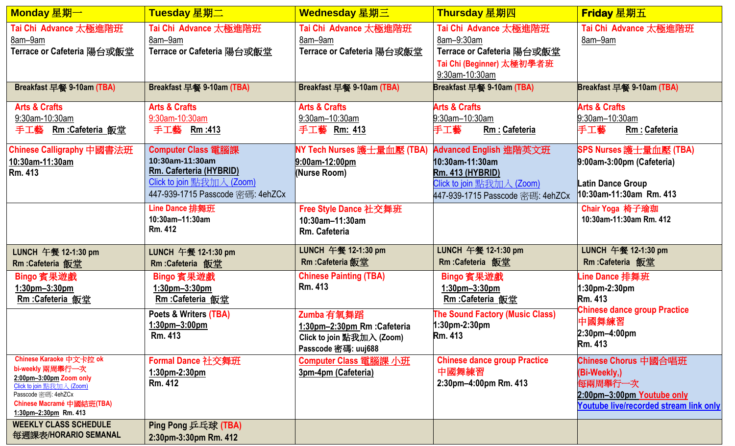| Monday 星期一                                                                                                                                                                       |                                                                                                                                          | Wednesday 星期三                                                                                  | Thursday 星期四                                                                                                                          | <b>Friday</b> 星期五                                                                                                                              |  |
|----------------------------------------------------------------------------------------------------------------------------------------------------------------------------------|------------------------------------------------------------------------------------------------------------------------------------------|------------------------------------------------------------------------------------------------|---------------------------------------------------------------------------------------------------------------------------------------|------------------------------------------------------------------------------------------------------------------------------------------------|--|
| Tai Chi Advance 太極進階班<br>8am-9am<br>Terrace or Cafeteria 陽台或飯堂                                                                                                                   | Tai Chi Advance 太極進階班<br>8am-9am<br>Terrace or Cafeteria 陽台或飯堂                                                                           | Tai Chi Advance 太極進階班<br>8am-9am<br>Terrace or Cafeteria 陽台或飯堂                                 | Tai Chi Advance 太極進階班<br>8am-9:30am<br>Terrace or Cafeteria 陽台或飯堂<br>Tai Chi (Beginner) 太極初學者班<br>9:30am-10:30am                      | Tai Chi Advance 太極進階班<br>8am-9am                                                                                                               |  |
| Breakfast 早餐 9-10am (TBA)                                                                                                                                                        | Breakfast 早餐 9-10am (TBA)                                                                                                                | Breakfast 早餐 9-10am (TBA)                                                                      | Breakfast 早餐 9-10am (TBA)                                                                                                             | Breakfast 早餐 9-10am (TBA)                                                                                                                      |  |
| <b>Arts &amp; Crafts</b><br>9:30am-10:30am<br>手工藝<br><b>Rm :Cafeteria 飯堂</b>                                                                                                     | <b>Arts &amp; Crafts</b><br>9:30am-10:30am<br>手工藝 Rm:413                                                                                 | <b>Arts &amp; Crafts</b><br>9:30am-10:30am<br>手工藝 Rm: 413                                      | <b>Arts &amp; Crafts</b><br>9:30am-10:30am<br>手工藝<br>Rm : Cafeteria                                                                   | <b>Arts &amp; Crafts</b><br>9:30am-10:30am<br>手工藝<br>Rm : Cafeteria                                                                            |  |
| Chinese Calligraphy 中國書法班<br>10:30am-11:30am<br>Rm. 413                                                                                                                          | <b>Computer Class</b> 電腦課<br>10:30am-11:30am<br>Rm. Caferteria (HYBRID)<br>Click to join 點我加入 (Zoom)<br>447-939-1715 Passcode 密碼: 4ehZCx | NY Tech Nurses 護士量血壓 (TBA)<br>$9:00$ am-12:00pm<br><b>Nurse Room)</b>                          | Advanced English 進階英文班<br>10:30am-11:30am<br><b>Rm. 413 (HYBRID)</b><br>Click to join 點我加入 (Zoom)<br>447-939-1715 Passcode 密碼: 4ehZCx | SPS Nurses 護士量血壓 (TBA)<br>9:00am-3:00pm (Cafeteria)<br><b>Latin Dance Group</b><br>10:30am-11:30am Rm. 413                                     |  |
|                                                                                                                                                                                  | Line Dance 排舞班<br>10:30am-11:30am<br><b>Rm. 412</b>                                                                                      | <b>Free Style Dance 社交舞班</b><br>10:30am-11:30am<br>Rm. Cafeteria                               |                                                                                                                                       | Chair Yoga 椅子瑜珈<br>10:30am-11:30am Rm. 412                                                                                                     |  |
| LUNCH 午餐 12-1:30 pm<br>Rm:Cafeteria 飯堂                                                                                                                                           | LUNCH 午餐 12-1:30 pm<br><b>Rm:Cafeteria</b> 飯堂                                                                                            | LUNCH 午餐 12-1:30 pm<br>Rm : Cafeteria 飯堂                                                       | LUNCH 午餐 12-1:30 pm<br><b>Rm:Cafeteria</b> 飯堂                                                                                         | LUNCH 午餐 12-1:30 pm<br>Rm :Cafeteria 飯堂                                                                                                        |  |
| Bingo 賓果遊戲<br>$1:30$ pm $-3:30$ pm<br><b>Rm :Cafeteria 飯堂</b>                                                                                                                    | Bingo 賓果遊戲<br>$1:30$ pm $-3:30$ pm<br><b>Rm :Cafeteria 飯堂</b>                                                                            | <b>Chinese Painting (TBA)</b><br><b>Rm. 413</b>                                                | Bingo 賓果遊戲<br>1:30pm-3:30pm<br><b>Rm :Cafeteria</b> 飯堂                                                                                | -ine Dance 排舞班<br>$1:30$ pm-2:30pm<br><b>Rm.</b> 413<br><b>Chinese dance group Practice</b><br>中國舞練習<br>$2:30$ pm $-4:00$ pm<br><b>Rm.</b> 413 |  |
|                                                                                                                                                                                  | Poets & Writers (TBA)<br>$1:30$ pm $-3:00$ pm<br>Rm. 413                                                                                 | Zumba 有氧舞蹈<br>1:30pm-2:30pm Rm : Cafeteria<br>Click to join 點我加入 (Zoom)<br>Passcode 密碼: uuj688 | <b>The Sound Factory (Music Class)</b><br>1:30pm-2:30pm<br><b>Rm.</b> 413                                                             |                                                                                                                                                |  |
| Chinese Karaoke 中文卡拉 ok<br>bi-weekly 兩周舉行一次<br>2:00pm-3:00pm Zoom only<br>Click to join 點我加入 (Zoom)<br>Passcode 密碼: 4ehZCx<br>Chinese Macramé 中國結班(TBA)<br>1:30pm-2:30pm Rm. 413 | Formal Dance 社交舞班<br>$1:30$ pm-2:30pm<br>Rm. 412                                                                                         | Computer Class 電腦課 小班<br>3pm-4pm (Cafeteria)                                                   | <b>Chinese dance group Practice</b><br>中國舞練習<br>2:30pm-4:00pm Rm. 413                                                                 | Chinese Chorus 中國合唱班<br>(Bi-Weekly,)<br>每兩周舉行一次<br>2:00pm-3:00pm Youtube only<br><b>Youtube live/recorded stream link only</b>                 |  |
| <b>WEEKLY CLASS SCHEDULE</b><br>每週課表/HORARIO SEMANAL                                                                                                                             | Ping Pong 乒乓球 (TBA)<br>2:30pm-3:30pm Rm. 412                                                                                             |                                                                                                |                                                                                                                                       |                                                                                                                                                |  |